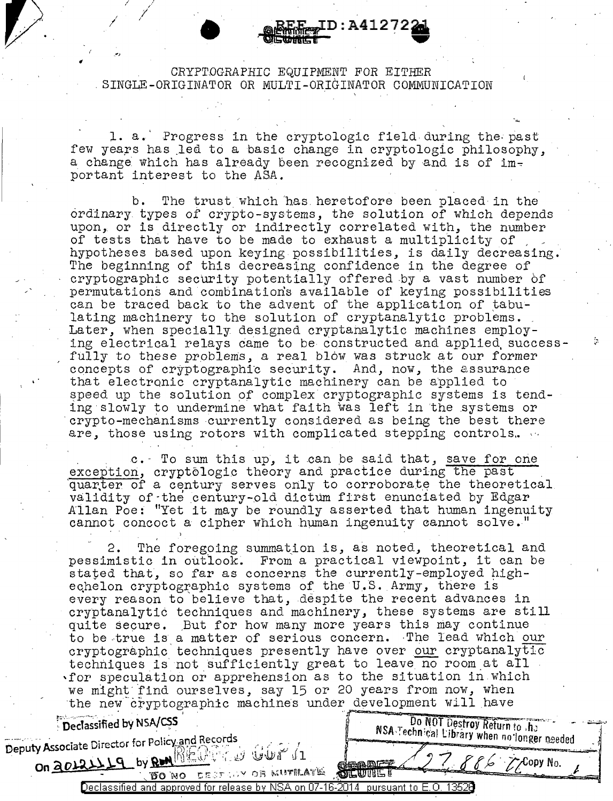# • CRYPTOGRAPHIC EQUIPMENT *FOR EITHER* . SINGLE-ORIGINATOR OR MULTI-OR\_IGINATOR COMMUNICATION

**ID:A41272** 

p. */* <sup>I</sup>

I I  $\mathcal{I} = \mathcal{I}$ 

\_.,

1. a. Progress in the cryptologic field during the past few years has led to a basic change in cryptologic philosophy, a change which has already been recognized by and is of important interest to the ASA.

b. The trust which has heretofore been placed in the ordinary types of crypto-systems, the solution of which depends upon, or is directly or indirectly correlated with, the number of tests that have to be made to exhaust a multiplicity of hypotheses based upon keying possibilities, is daily decreasing. The beginning of this decreasing confidence in the degree of cryptographic security potentially offered by a vast number of permutations and combinations available of keying possibilities can be traced back to the advent of the application of tabu-<br>lating machinery to the solution of cryptanalytic problems. Later, when specially designed cryptanalytic machines employing electrical relays came to be constructed and applied, successfully to these problems, a real blow was struck at our former concepts of cryptographic security. And, now, the assurance that electronic cryptanalytic machinery can be applied to speed up the solution of complex cryptographic systems is tending· slowly to undermine what faith was left in the systems or crypto-mechanisms currently considered as being the best there are, those using rotors with complicated stepping controls.

c. To sum this up, it can be said that, save for one exception, cryptologic theory and practice during the past quarter of a century serves only to corroborate the theoretical validity of ·the century-old dictum first enunciated by Edgar Allan Poe: "Yet it may be roundly asserted that human ingenuity cannot concoct a cipher which human ingenuity cannot solve.

2. The foregoing summation is, as noted, theoretical and pessimistic in outlook. From a practical viewpoint, it can be stated that, so far as concerns the currently-employed highechelon cryptographic systems of the U.S. Army, there is every reason to believe that, despite the recent advances in cryptanalytic techniques and machinery, these systems are still quite secure. But for how many more years this may continue to be true is a matter of serious concern. The lead which our cryptographic· techniques presently have over our cryptanalytic techniques is not sufficiently great to leave no room at all 'for speculation or apprehension as to the situation in Which we might find ourselves, say 15 or 20 years from now, when the new cryptographic machines under development will have Freedassified by NSA/CSS MEDIAN IS a record of the strong of the MSA Fechnical Library when no longer needed Deputy Associate Director for Policy and Records<br>
On 2012119 by RM RECORD OF STREET AS TODY No.

On 0~)}\ by,Q!!\lfljJ...,,Lr~ *.,\_;d.J* \b!fwr~ u "·~· . */(* .· ffe··tf"\_opyNo. · .,9 - ·,·D"o·wo -c;r::;::r- ·,.,v OR \>/.l!'il'filt.~"lilf: .. ~ *l-* ./. Declassified and approved for release by NSA on 07-16-2014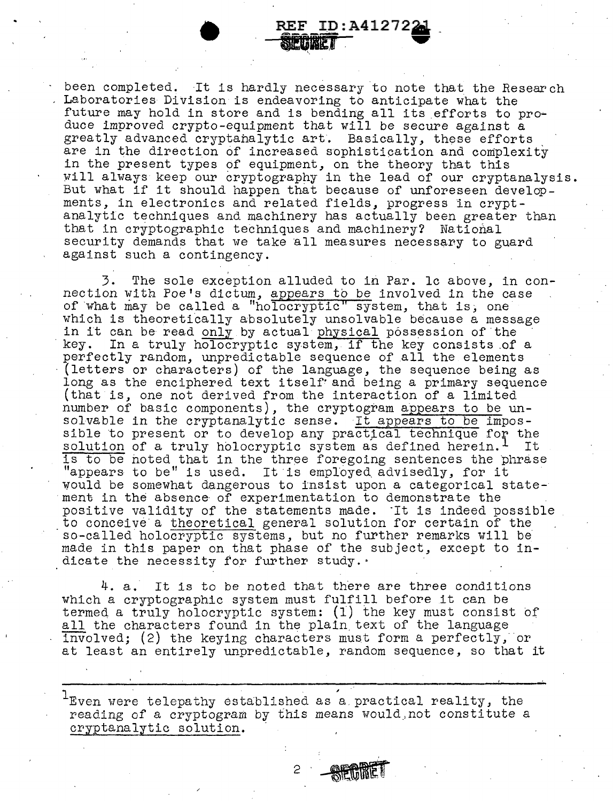been completed. It is hardly necessary to note that the Research Laboratories Division is endeavoring to anticipate what the future may hold in store and is bending all its efforts to produce improved crypto-equipment that will be secure against a greatly advanced cryptanalytic art. Basically, these efforts are in the direction of increased sophistication and complexity in the present types of equipment, on the theory that this will always keep our cryptography in the lead of our cryptanalysis. But what if it should happen that because of unforeseen developments, in electronics and related fields, progress in cryptanalytic techniques and machinery has actually been greater than that in cryptographic techniques and machinery? National security demands that we take all measures necessary to guard against such a contingency.

**REF ID:A4127221** 

3. The sole exception alluded to in Par. le above, in connection with Poe's dictum, appears to be involved in the case of what may be called a "holocryptic" system, that is, one which is theoretically absolutely unsolvable because a message in it can be read only by actual physical possession of the key. In a truly holocryptic system, if the key consists of key. In a truly holocryptic system, if the key consists of a perfectly random, unpredictable sequence of all the elements (letters or characters) of the language, the sequence being as long as the enciphered text itself· and being a primary sequence (that is, one not derived from the interaction of a limited number of basic components), the cryptogram appears to be unsolvable in the cryptanalytic sense. It appears to be impossible to present or to develop any practical technique for the solution of a truly holocryptic system as defined herein. It solution of a truly holocryptic system as defined herein.<sup>1</sup> is to be noted that in the three foregoing sentences the phrase "appears to be" is used. It is employed advisedly, for it would be somewhat dangerous to insist upon a categorical statement in the absence· of experimentation to demonstrate the positive validity of the statements made. It is indeed possible to conceive a theoretical general solution for certain of the so-called holocryptic systems, but no further remarks will be made in this paper on that phase of the subject, except to indicate the necessity for further study.·

4. a. It is to be noted that there are three conditions which a cryptographic system must fulfill before it can be termed a truly holocryptic system:  $(1)$  the key must consist of all the characters found in the plain text of the language involved; (2) the keying characters must form a perfectly, or at least an entirely unpredictable, random sequence, so that it

 $1$ Even were telepathy established as a practical reality, the reading of a cryptogram by this means would\_,not constitute a cryptanalytic solution.

2 **AFRIRET**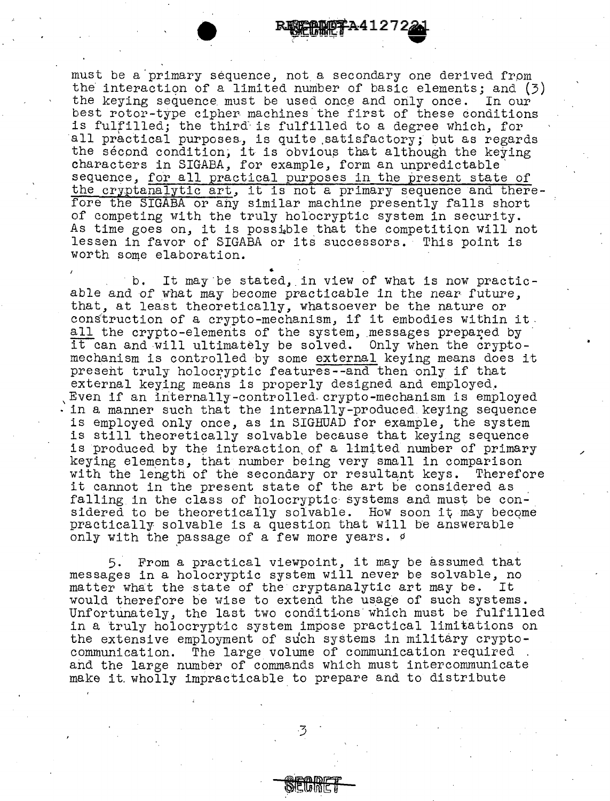must be a primary sequence, not a secondary one derived from the interaction of a limited number of basic elements; and  $(3)$  the keying sequence must be used once and only once. In our the keying sequence must be used once and only once. best rotor-type cipher machines the first of these conditions is fulfilled; the third is fulfilled to a degree which, for all practical purposes, is quite satisfactory; but as regards the second condition; it is obvious that although the keying characters in SIGABA, for example, form an unpredictable' sequence, for all practical purposes in the present state of the cryptanalytic art, it is not a primary sequence and therefore the SIGABA or any similar machine presently falls short of competing with the truly holocryptic system in security. As time goes on, it is possible that the competition will not dime goes on, is is possible only one composition will he lessen in favor of SIGABA or its successors. This point is worth some elaboration.

b. It may be stated, in view of what is now practicable and of what may become practicable in the near future, that, at least theoretically, whatsoever be the nature or cons'truction of a crypto-mechanism, if it embodies within it. all the crypto-elements of the system, messages prepared by it can and will ultimately be solved. Only when the cryptomechanism is controlled by some external keying means does it present truly holocryptic features--and then only if that external keying means is properly designed and employed. ,Even if an internally-controlled-crypto-mechanism is employed ·in a manner such that the internally-produced.keying sequence is employed only once, as in SIGHUAD for example, the system is still theoretically solvable because that keying sequence is produced by the interaction of a limited number of primary keying elements, that number being very small in comparison  $\check{ }$  with the length of the secondary or resultant keys. Therefore with the length of the secondary or resultant keys. it cannot in the present state of the art be considered as falling in the class of holocryptic systems and must be con-<br>sidered to be theoretically solvable. How soon it may become practically solvable is a question that will be answerable only with the passage of a few more years. *<sup>9</sup>*

/

5. From a practical viewpoint, it may be assumed that messages in a holocryptic system will never be solvable, no matter what the state of the cryptanalytic art may be. It would therefore be wise to extend the usage of such systems. Unfortunately, the last two conditions which must be fulfilled in a truly holocryptic system impose practical limitations on the extensive employment of such systems in military crypto-<br>communication. The large volume of communication required. and the large number of commands which must intercommunicate make it wholly impracticable to prepare and to distribute

 $3<sup>1</sup>$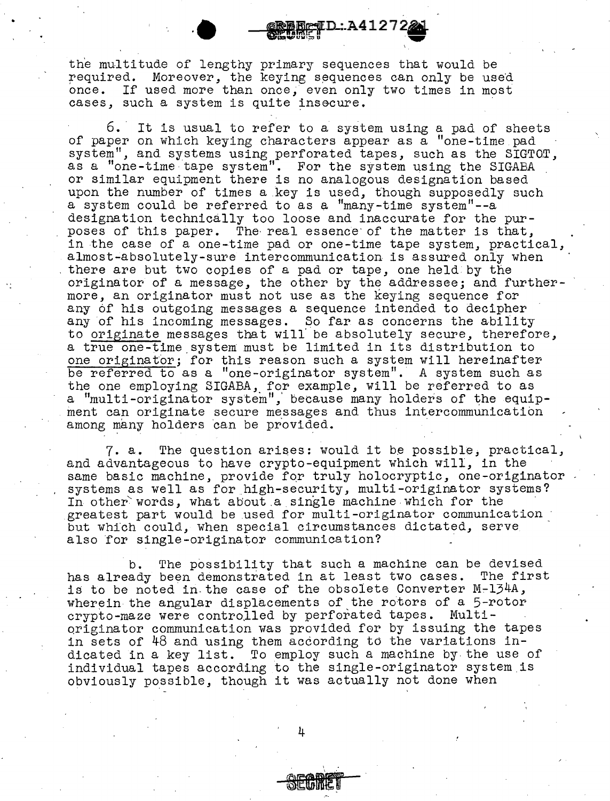the multitude of lengthy primary sequences that would be required. Moreover, the keying sequences can only be used once. If used more than once. even only two times in most If used more than once, even only two times in most cases, such a system is quite insecure.

**eTD:A41272** 

6. It is usual to refer to a system using a pad of sheets of paper on which keying characters appear as a "one-time pad system", and systems using perforated tapes, such as the SIGTOT, as a "one-time tape system". For the system using the SIGABA or similar equipment there is no analogous designation based upon the number of times a key is used, though supposedly such a system could be referred to as a "many-time system"--a designation technically too loose and inaccurate for the purposes of this paper. The· real essence· of the matter is that, in the case of a one-time pad or one-time tape system, practical, almost-absolutely-sure intercommunication is assured only when there are but two copies of a pad or tape, one held by the originator of a message, the other by the addressee; and furthermore, an originator must not use as the keying sequence for any of his outgoing messages a sequence intended to decipher any of his incoming messages. So far as concerns the ability to originate messages that will' be absolutely secure, therefore, a true one-time.system must be limited in its distribution to one originator; for this reason such a system will hereinafter be referred to as a "one-originator system". A system such as the one employing SIGABA, for example, will be referred to as a "multi-originator system", because many holders of the equipment can originate secure messages and thus intercommunication among many holders can be provided.

7. a. The question arises: would it be possible, practical, and advantageous to have crypto-equipment which will, in the same basic machine, provide for truly holocryptic, one-originator systems as well as for high-security, multi-originator systems?<br>In other words, what about a single machine which for the greatest part would be used for multi-originator communication but whfch could, when special circumstances dictated, serve also for single-originator communication?

b. The possibility that such a machine can be devised has already been demonstrated in at least two cases. The first is to be noted in.the case of the obsolete Converter M~l34A, wherein the angular displacements of the rotors of a 5-rotor<br>crypto-maze were controlled by perforated tapes. Multioriginator communication was provided for by issuing the tapes. in sets of 48 and using them according to the variations indicated in a key list. To employ such a machine by-the use of individual tapes according to the single-originator system is obviously possible, though it was actually not done when

4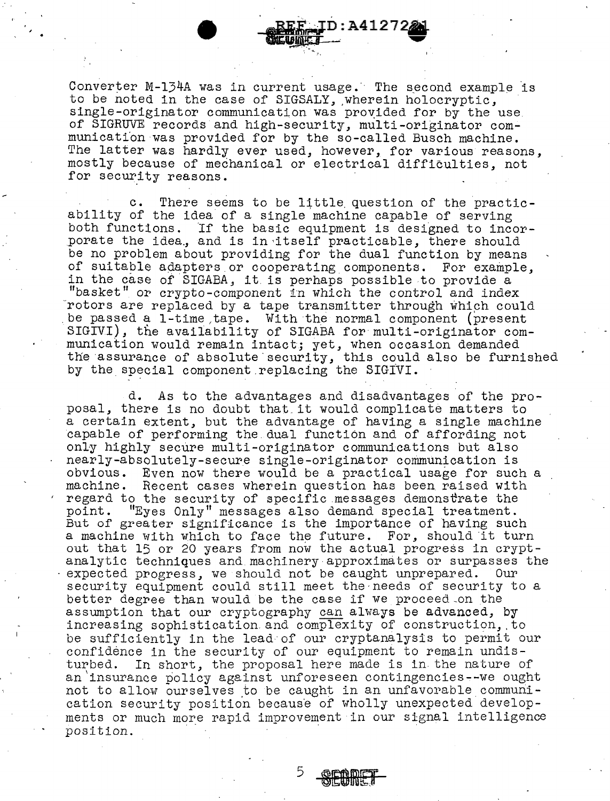Converter M-134A was in current usage. The second example is to be noted in the case of SIGSALY, wherein holocryptic, single-originator communication was provided for by the use of SIGRUVE records and high-security, multi-originator communicatfon was provided for by the so-called Busch machine. The latter was hardly ever used, however, for various reasons, mostly because of mechanical or electrical difficulties, not for security reasons.

**D:A41272** 

There seems to be little question of the practicability of the idea of a single machine capable of serving both functions. If the basic equipment is designed to incorporate the idea, and is in itself practicable, there should be no problem about providing for the dual function by means of suitable adapters or cooperating components. For example, in the case of SIGABA, it. is perhaps possible to provide a "basket" or crypto-component in which the control and index rotors are replaced by a tape transmitter through which could be passed a 1-time tape. With the normal component (present SIGIVI), the availability of SIGABA for multi-originator communication would remain intact; yet, when occasion demanded the assurance of absolute security, this could also be furnished by the special component.replacing the SIGIVI.

d. As to the advantages and disadvantages of the proposal, there is no doubt that.it would complicate matters to a certain extent, but the advantage of having a single machine capable of performing the.dual function and of affording not only highly secure multi-originator communications but also nearly-absolutely-secure single-originator communication is Even now there would be a practical usage for such a machine. Recent cases wherein question has been raised with regard to the security of specific messages demonstrate the point. "Eyes Only" messages also demand special treatment. But of greater significance is the importance of having such a machine with which to face the future. For, should it turn out that 15 or 20 years from now the actual progress in crypt-<br>analytic techniques and machinery approximates or surpasses the expected progress, we should not be caught unprepared. Our security equipment could still meet the needs of security to a better degree than would be the case if we proceed-on the assumption that our cryptography can always be advanced, by increasing sophistication and complexity of construction, .to be sufficiently in the lead of our cryptanalysis to permit our confidence in the security of our equipment to remain undis-<br>turbed. In short, the proposal here made is in the nature of In short, the proposal here made is in the nature of an 'insurance policy against unforeseen contingencies--we ought not to allow ourselves to be caught in an unfavorable communication security position because of wholly unexpected developments or much more rapid improvement in our signal intelligence position.

5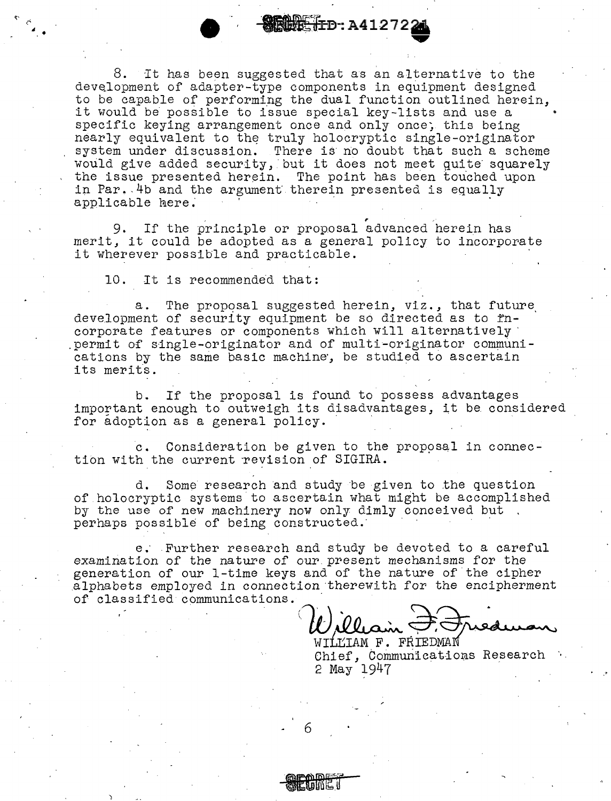$\blacksquare$  ...  $\blacksquare$  .  $\blacksquare$  .  $\blacksquare$  .  $\blacksquare$  . A41272 $\blacksquare$ <br>8. It has been suggested that as an alternative to the development of adapter-type components in equipment designed to be capable of performing the dual function outlined herein, it would be possible to issue special key-lists and use a specific keying arrangement once and only once; this being nearly equivalent to the truly holocryptic single-originator system under discussion. There is no doubt that such a scheme would give added security, but it does not meet quite squarely the issue presented herein. The point has been touched upon in Par. 4b and the argument therein presented is equally applicable here.

, 9. If the principle or proposal advanced herein has merit, it could be adopted as a general policy to incorporate it wherever possible and practicable.

10. It is recommended that:

a. The proposal suggested herein, viz., that future development of security equipment be so directed as to  $rn$ corporate features or components which will alternatively· .permit of single-originator and of multi-originator communications by the same basic machine, be studied to ascertain its merits.

b. If the proposal is found to possess advantages important enough to outweigh its disadvantages, it be considered for adoption as a general policy.

c. Consideration be given to the proposal in connection with the current revision of SIGIRA.

d. Some research and study be given to the question of holocryptic systems to ascertain what might be accomplished by the use of' new machinery now only dimly conceived but perhaps possible of being constructed.

e. Further research and study be devoted to a careful examination of the nature of our.present mechanisms for the generation of our 1-time keys and of the nature of the cipher alphabets employed in connection therewith for the encipherment of classified communications.

OMMUNICATIONS. William <del>D. Fricannes</del>

WILLIAM F. FRIEDMAN<br>Chief, Communications Research 2 May 1947

6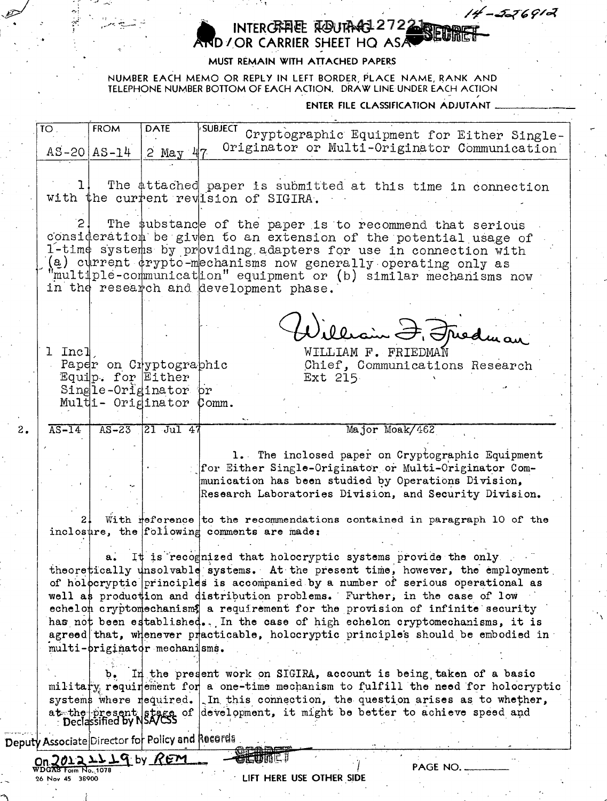#### INTERCRATE ROUTARE 2722 **SEUTHE** AND / OR CARRIER SHEET HO ASA

### MUST RÈMAIN WITH ATTACHED PAPERS

 $\sim 100$ 

NUMBER EACH MEMO OR REPLY IN LEFT BORDER, PLACE NAME, RANK AND TELEPHONE NUMBER BOTTOM OF EACH ACTION. DRAW LINE UNDER EACH ACTION

ENTER FILE CLASSIFICATION ADJUTANT

 $4 - 556912$ 

| $\overline{10}$ .         | <b>FROM</b>         | <b>DATE</b>                  | <b>SUBJECT</b><br>Cryptographic Equipment for Either Single-                                                                                                     |
|---------------------------|---------------------|------------------------------|------------------------------------------------------------------------------------------------------------------------------------------------------------------|
|                           | $AS - 20   AS - 14$ | 2 May                        | Originator or Multi-Originator Communication                                                                                                                     |
|                           |                     |                              |                                                                                                                                                                  |
|                           |                     |                              |                                                                                                                                                                  |
|                           |                     |                              | The attached paper is submitted at this time in connection<br>with the current revision of SIGIRA.                                                               |
|                           |                     |                              |                                                                                                                                                                  |
|                           |                     |                              | The substance of the paper is to recommend that serious                                                                                                          |
|                           |                     |                              | consideration be given to an extension of the potential usage of                                                                                                 |
|                           |                     |                              | l-time systems by providing adapters for use in connection with                                                                                                  |
|                           |                     |                              | (a) current drypto-mechanisms now generally operating only as                                                                                                    |
|                           |                     |                              | multiple-communication" equipment or (b) similar mechanisms now                                                                                                  |
|                           |                     |                              | in the research and development phase.                                                                                                                           |
|                           |                     |                              |                                                                                                                                                                  |
|                           |                     |                              |                                                                                                                                                                  |
|                           |                     |                              | illiain F. Friedman                                                                                                                                              |
| 1 Incl                    |                     |                              | WILLIAM F. FRIEDMAN                                                                                                                                              |
|                           |                     | Paper on Cryptographic       | Chief, Communications Research                                                                                                                                   |
|                           | Equip. for Either   |                              | Ext 215                                                                                                                                                          |
|                           |                     | Single-Originator pr         |                                                                                                                                                                  |
|                           |                     | Multi- Originator Comm.      |                                                                                                                                                                  |
| $\overline{\text{AS-14}}$ |                     | AS-23 21 Jul 47              | Major Moak/462                                                                                                                                                   |
|                           |                     |                              |                                                                                                                                                                  |
|                           |                     |                              |                                                                                                                                                                  |
|                           |                     |                              |                                                                                                                                                                  |
|                           |                     |                              | 1. The inclosed paper on Cryptographic Equipment                                                                                                                 |
|                           |                     |                              | for Either Single-Originator or Multi-Originator Com-<br>munication has been studied by Operations Division,                                                     |
|                           |                     |                              | Research Laboratories Division, and Security Division.                                                                                                           |
|                           |                     |                              |                                                                                                                                                                  |
|                           |                     |                              | With reference to the recommendations contained in paragraph 10 of the                                                                                           |
|                           |                     |                              | inclosure, the following comments are made:                                                                                                                      |
|                           |                     |                              |                                                                                                                                                                  |
|                           |                     |                              | a. It is recognized that holocryptic systems provide the only                                                                                                    |
|                           |                     |                              | theoretically unsolvable systems. At the present time, however, the employment<br>of holocryptic principles is accompanied by a number of serious operational as |
|                           |                     |                              | well as production and distribution problems. Further, in the case of low                                                                                        |
|                           |                     |                              | echelon cryptomechanisms a requirement for the provision of infinite security                                                                                    |
|                           |                     |                              | has not been established. In the case of high echelon cryptomechanisms, it is                                                                                    |
|                           |                     |                              | agreed that, whenever practicable, holocryptic principles should be embodied in                                                                                  |
|                           |                     | multi-priginator mechanisms. |                                                                                                                                                                  |
|                           |                     |                              |                                                                                                                                                                  |
|                           |                     |                              | In the present work on SIGIRA, account is being taken of a basic                                                                                                 |
|                           |                     | systems where required.      | military requirement for a one-time mechanism to fulfill the need for holocryptic<br>In this connection, the question arises as to whether,                      |
|                           |                     |                              | at the present stage of development, it might be better to achieve speed and<br>Declassified by NSA/CSS                                                          |

Deputy Associate Director for Policy and Records

JOI2277d PA REM  $Qn$ Form No., 1078 26 Nov 45 38900

 $2.$ 

LIFT HERE USE OTHER SIDE

**erni**ci

PAGE NO.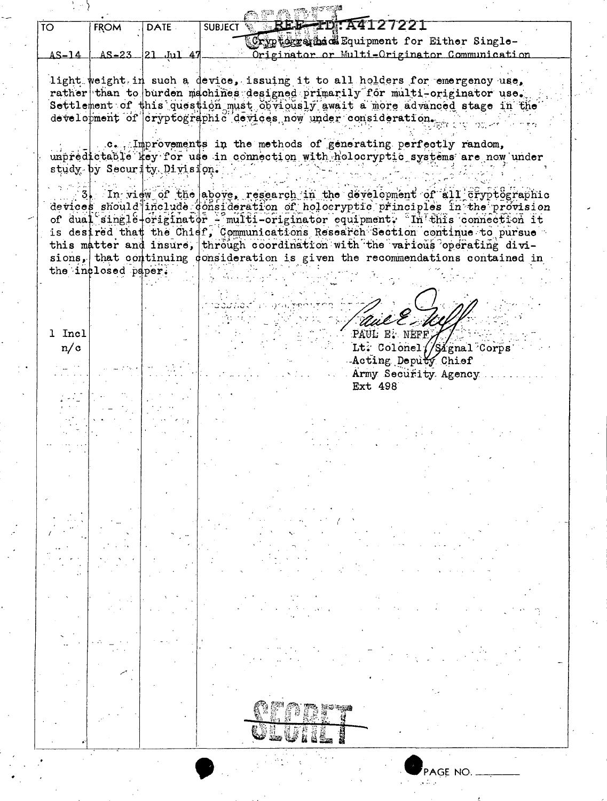| $\overline{10}$ | FROM                | <b>DATE</b>                 | REE-TDTA4127221<br><b>SUBJECT</b>                                                                                                                              |
|-----------------|---------------------|-----------------------------|----------------------------------------------------------------------------------------------------------------------------------------------------------------|
|                 |                     |                             | Cryptogram & Equipment for Either Single-                                                                                                                      |
| AS-14           |                     | $AS-23$ 21 Jul 47           | Originator or Multi-Originator Communication                                                                                                                   |
|                 |                     |                             |                                                                                                                                                                |
|                 |                     |                             | light weight in such a device, issuing it to all holders for emergency use,<br>rather than to burden machines designed primarily for multi-originator use.     |
|                 |                     |                             | Settlement of this question must obviously await a more advanced stage in the                                                                                  |
|                 |                     |                             | development of cryptographic devices now under consideration.                                                                                                  |
|                 |                     |                             |                                                                                                                                                                |
|                 |                     |                             | .c. Improvements in the methods of generating perfectly random,<br>unpredictable fey for use in connection with holocryptic systems are now under              |
|                 |                     | study by Security Division. |                                                                                                                                                                |
|                 |                     |                             |                                                                                                                                                                |
|                 |                     |                             | In view of the above, research in the development of all cryptographic                                                                                         |
|                 |                     |                             | devices should include donsideration of holocryptic principles in the provision                                                                                |
|                 |                     |                             | of dual single-originator - multi-originator equipment. In this connection it<br>is desired that the Chief, Communications Research Section continue to pursue |
|                 |                     |                             | this matter and insure, through coordination with the various operating divi-                                                                                  |
|                 |                     |                             | sions, that continuing consideration is given the recommendations contained in                                                                                 |
|                 | the inclosed paper. |                             |                                                                                                                                                                |
|                 |                     |                             |                                                                                                                                                                |
|                 |                     |                             |                                                                                                                                                                |
|                 |                     |                             |                                                                                                                                                                |
| 1 Incl          |                     |                             | PAUL E. NEFE                                                                                                                                                   |
| n/c             |                     |                             | Lt. Colonel //Signal Corps                                                                                                                                     |
|                 |                     |                             | Acting Deputy Chief                                                                                                                                            |
|                 |                     |                             | Army Security Agency<br>Ext 498                                                                                                                                |
|                 |                     |                             |                                                                                                                                                                |
|                 |                     |                             |                                                                                                                                                                |
|                 |                     |                             |                                                                                                                                                                |
|                 |                     |                             |                                                                                                                                                                |
|                 |                     |                             |                                                                                                                                                                |
|                 |                     |                             |                                                                                                                                                                |
|                 |                     |                             |                                                                                                                                                                |
|                 |                     |                             |                                                                                                                                                                |
|                 |                     |                             |                                                                                                                                                                |
|                 |                     |                             |                                                                                                                                                                |
|                 |                     |                             |                                                                                                                                                                |
|                 |                     |                             |                                                                                                                                                                |
|                 |                     |                             |                                                                                                                                                                |
|                 |                     |                             |                                                                                                                                                                |
|                 |                     |                             |                                                                                                                                                                |
|                 |                     |                             |                                                                                                                                                                |
|                 |                     |                             |                                                                                                                                                                |
|                 |                     |                             |                                                                                                                                                                |
|                 |                     |                             |                                                                                                                                                                |
|                 |                     |                             |                                                                                                                                                                |
|                 |                     |                             |                                                                                                                                                                |
|                 |                     |                             |                                                                                                                                                                |
|                 |                     |                             |                                                                                                                                                                |
|                 |                     |                             |                                                                                                                                                                |

क में का गा

 $\hat{\mathcal{L}}$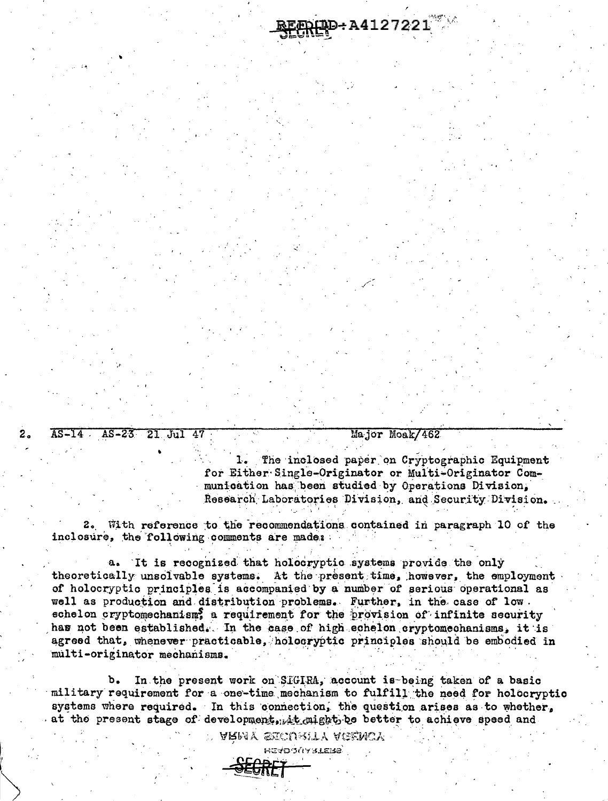AS-14 AS-23 21 Jul 47

 $2.$ 

Major Moak/462

1. The inclosed paper on Cryptographic Equipment for Either Single-Originator or Multi-Originator Communication has been studied by Operations Division. Research Laboratories Division, and Security Division.

DD-A4127221

2. With reference to the recommendations contained in paragraph 10 of the inclosure, the following comments are made:

a. It is recognized that holocryptic systems provide the only theoretically unsolvable systems. At the present time, however, the employment of holocryptic principles is accompanied by a number of serious operational as well as production and distribution problems. Further, in the case of low. echelon cryptomechanism, a requirement for the provision of infinite security has not been established. In the case of high cohelon cryptomechanisms, it is agreed that, whenever practicable, holocryptic principles should be embodied in multi-originator mechanisms.

In the present work on SIGIRA, account is being taken of a basic b. military requirement for a one-time mechanism to fulfill the need for holocryptic systems where required. In this connection, the question arises as to whether, at the present stage of development, it might be better to achieve speed and

> d army secuenty agency **HEYDOGY SLEME**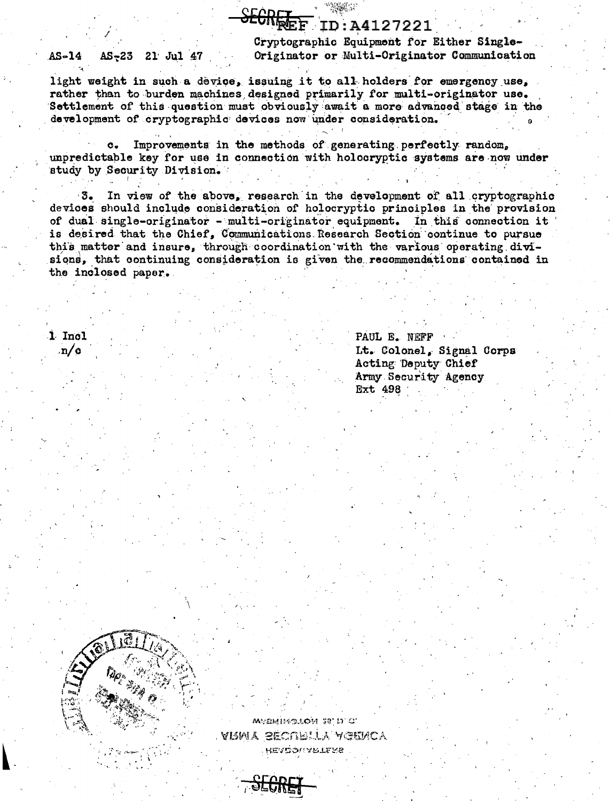## ID:A4127221

 $AS-14$ AS-23 21 Jul 47 Cryptographic Equipment for Either Single-Originator or Multi-Originator Communication

light weight in such a device, issuing it to all holders for emergency use, rather than to burden machines designed primarily for multi-originator use. Settlement of this question must obviously await a more advanced stage in the development of cryptographic devices now under consideration.

Improvements in the methods of generating perfectly random,  $\mathbf{c}$ . unpredictable key for use in connection with holocryptic systems are now under study by Security Division.

 $3.1$ In view of the above, research in the development of all cryptographic devices should include consideration of holocryptic principles in the provision of dual single-originator - multi-originator equipment. In this connection it is desired that the Chief, Communications Research Section continue to pursue this matter and insure, through coordination with the various operating divisions, that continuing consideration is given the recommendations contained in the inclosed paper.

1 Incl  $\mathbf{n}/\mathbf{c}$ 

PAUL E. NEFF Lt. Colonel, Signal Corps Acting Deputy Chief Army Security Agency **Ext 498** 



мулнімськом тергі сі ARMY SECURITY AGENCY **HEADOUARTLERS** 

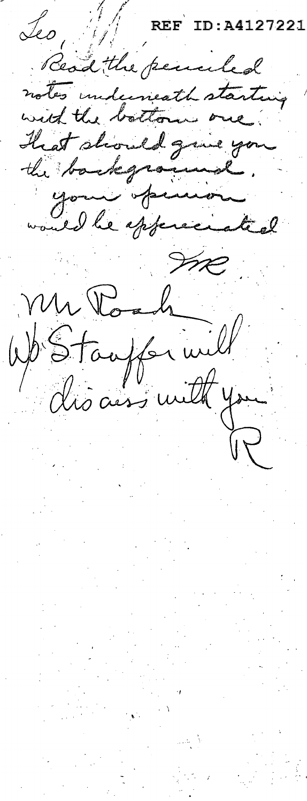**REF** ID:A4127221 Jeo, W Read the penaled notes underweath starting with the bottom one. hat should guns you the background. your pinnon<br>would be spfered ated Mr Poach<br>WB Stauffer will me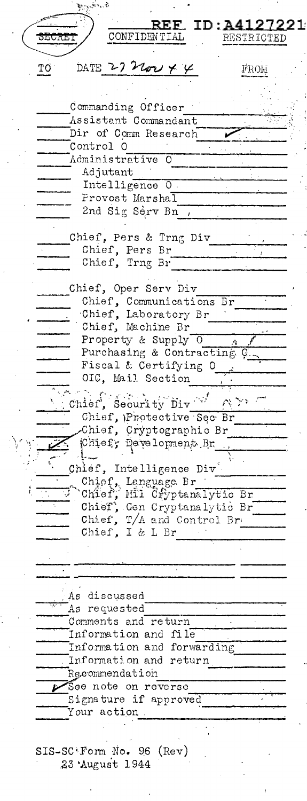b., REE ID: A4127221 CONFIDENTIAL SECRET RESTRICTED DATE 27 Nov 4 4 ТO FROM Commanding Officer Assistant Commandant Dir of Comm Research Control O Administrative O Adjutant Intelligence O Provost Marshal 2nd Sig Serv Bn , Chief, Pers & Trng Div Chief, Pers Br Chief, Trng Br Chief, Oper Serv Div Chief, Communications Br Chief, Laboratory Br\_\_\_ Chief, Machine Br Property & Supply 0 Purchasing & Contracting O Fiscal & Certifying O OIC, Mail Section Chief, Security  $\text{Div}^{-1}$  $\mathcal{P}^{s-1}_{N}(\mathbb{R}^n)$ Chief, Protective Sec Br Chief, Cryptographic Br.  $\mathbf{l}$ ... Chief, Intelligence Div Chief, Language Br<br>
Chief, Mil Cfyptanalytic Br<br>
Chief, Gen Cryptanalytic Br<br>
Chief, Gen Cryptanalytic Br 7 Chief, T/A and Control Brd. Chief, I & L Br (1) As discussed As requested Comments and return Information and file Information and forwarding Information and return Recommendation See note on reverse Signature if approved Your action.  $SIS-SC' Form No. 96 (Rev)$ 23 August 1944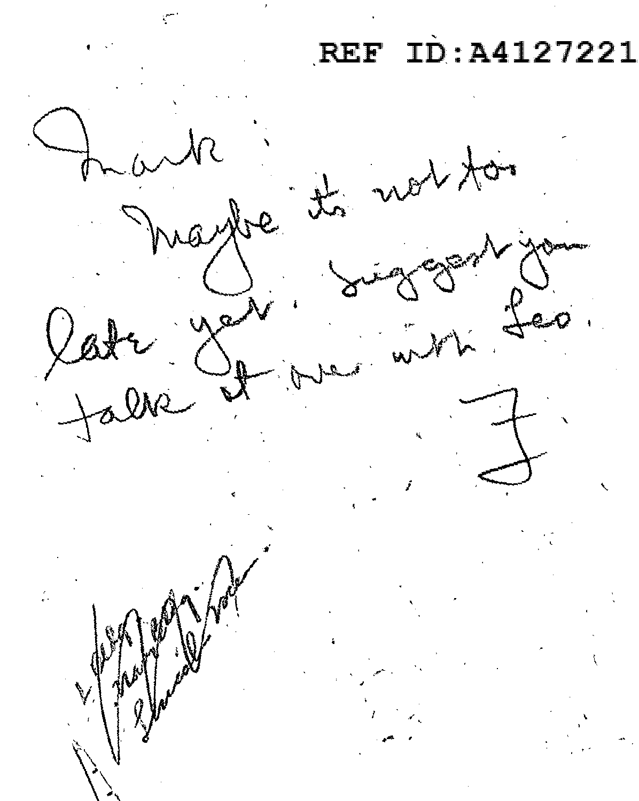# REF ID: A4127221

 $2401$ .<br>Ser whe.  $\mathcal{X}$ at  $\frac{1}{2}$ yes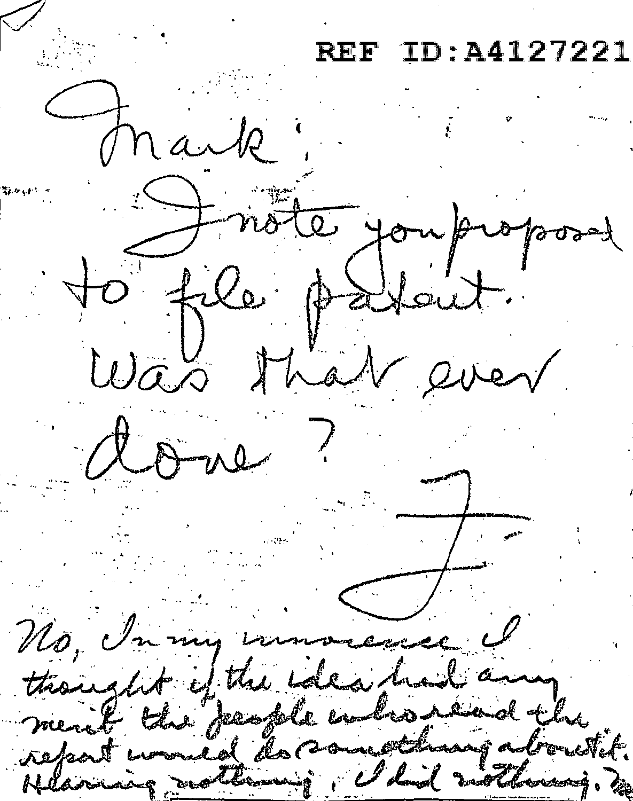D:A4127221 REF Mark! to file particul. Was that ever done! No, In my immorence I thought if the idea had any<br>nemt the feastle inhousind the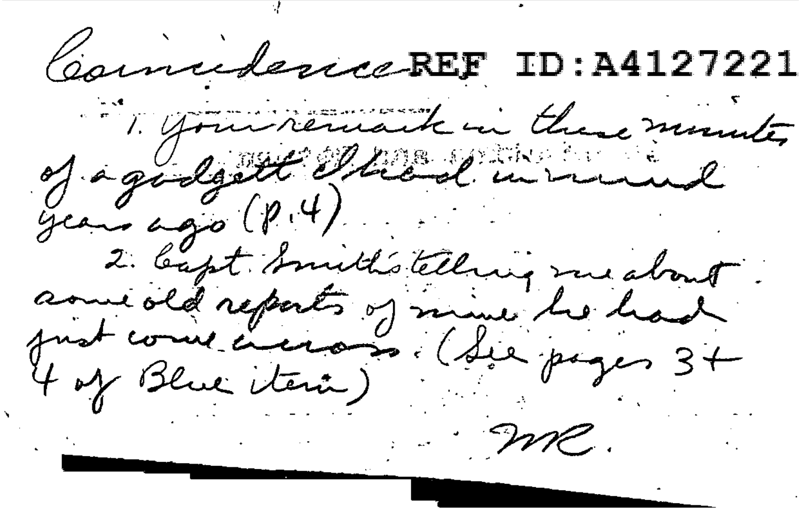Councidence REF ID: A4127221 1. your remark in these minutes of a godgett Theal would gears ago ( $P(4)$ ) 2. bapt bruith's telling me about. amedid reports of mine he had 4 of Blue item )  $\therefore$  MC.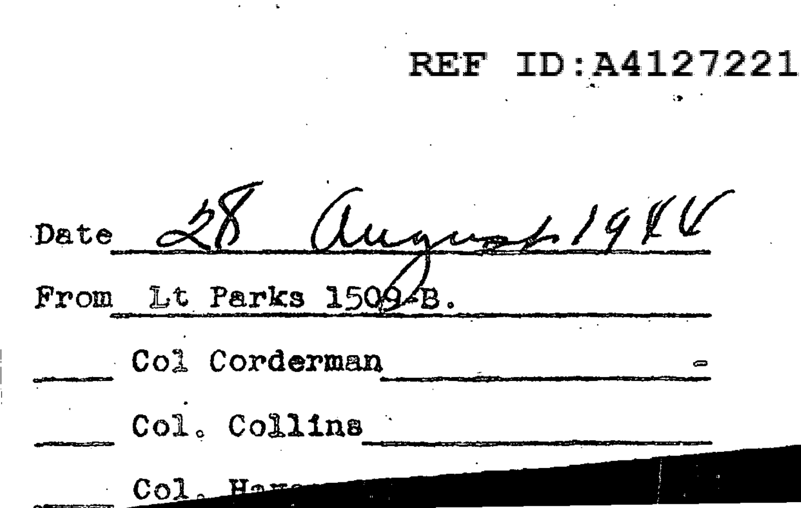### REF ID:A4127221

 $1.1911$ Date Lt Parks 15094B From Col Corderman Col. Collins CoJ Hع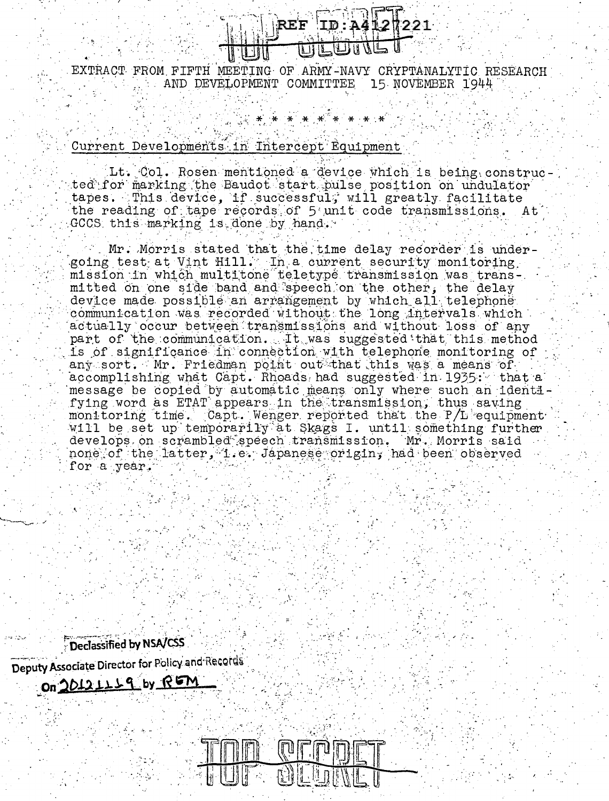

EXTRACT FROM FIFTH MEETING OF ARMY-NAVY CRYPTANALYTIC RESEARCH AND DEVELOPMENT COMMITTEE 15 NOVEMBER 1944

Current Developments in Intercept Equipment

Lt. Col. Rosen mentioned a device which is being constructed for marking the Baudot start pulse position on undulator tapes. This device, if successful, will greatly facilitate the reading of tape records of 5 unit code transmissions. At GCCS this marking is done by hand.

Mr. Morris stated that the time delay recorder is undergoing test at Vint Hill. In a current security monitoring mission in which multitone teletype transmission was transmitted on one side band and speech on the other. the delay device made possible an arrangement by which all telephone communication was recorded without the long intervals which actually occur between transmissions and without loss of any part of the communication. It was suggested that this method is of significance in connection with telephone monitoring of any sort. Mr. Friedman point out that this was a means of accomplishing what Capt. Rhoads had suggested in 1935: that a message be copied by automatic means only where such an identifying word as ETAT appears in the transmission. thus saving monitoring time. Capt. Wenger reported that the P/L equipment will be set up temporarily at Skags I. until something further develops on scrambled speech transmission. Mr. Morris said none of the latter, i.e. Japanese origin, had been observed for a year.

Declassified by NSA/CSS Deputy Associate Director for Policy and Records On 20121119 by REM